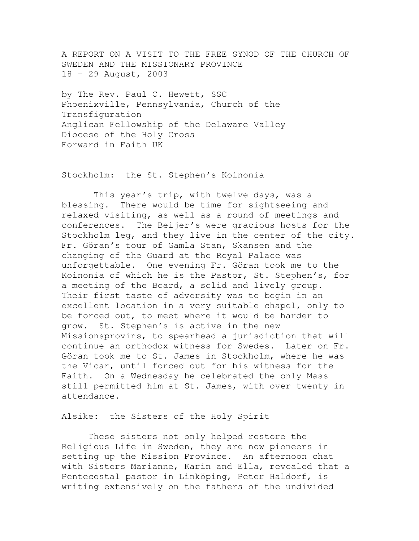A REPORT ON A VISIT TO THE FREE SYNOD OF THE CHURCH OF SWEDEN AND THE MISSIONARY PROVINCE 18 – 29 August, 2003

by The Rev. Paul C. Hewett, SSC Phoenixville, Pennsylvania, Church of the Transfiguration Anglican Fellowship of the Delaware Valley Diocese of the Holy Cross Forward in Faith UK

Stockholm: the St. Stephen's Koinonia

 This year's trip, with twelve days, was a blessing. There would be time for sightseeing and relaxed visiting, as well as a round of meetings and conferences. The Beijer's were gracious hosts for the Stockholm leg, and they live in the center of the city. Fr. Göran's tour of Gamla Stan, Skansen and the changing of the Guard at the Royal Palace was unforgettable. One evening Fr. Göran took me to the Koinonia of which he is the Pastor, St. Stephen's, for a meeting of the Board, a solid and lively group. Their first taste of adversity was to begin in an excellent location in a very suitable chapel, only to be forced out, to meet where it would be harder to grow. St. Stephen's is active in the new Missionsprovins, to spearhead a jurisdiction that will continue an orthodox witness for Swedes. Later on Fr. Göran took me to St. James in Stockholm, where he was the Vicar, until forced out for his witness for the Faith. On a Wednesday he celebrated the only Mass still permitted him at St. James, with over twenty in attendance.

Alsike: the Sisters of the Holy Spirit

 These sisters not only helped restore the Religious Life in Sweden, they are now pioneers in setting up the Mission Province. An afternoon chat with Sisters Marianne, Karin and Ella, revealed that a Pentecostal pastor in Linköping, Peter Haldorf, is writing extensively on the fathers of the undivided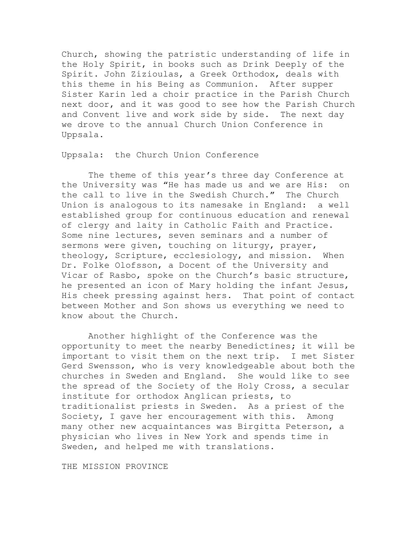Church, showing the patristic understanding of life in the Holy Spirit, in books such as Drink Deeply of the Spirit. John Zizioulas, a Greek Orthodox, deals with this theme in his Being as Communion. After supper Sister Karin led a choir practice in the Parish Church next door, and it was good to see how the Parish Church and Convent live and work side by side. The next day we drove to the annual Church Union Conference in Uppsala.

Uppsala: the Church Union Conference

 The theme of this year's three day Conference at the University was "He has made us and we are His: on the call to live in the Swedish Church." The Church Union is analogous to its namesake in England: a well established group for continuous education and renewal of clergy and laity in Catholic Faith and Practice. Some nine lectures, seven seminars and a number of sermons were given, touching on liturgy, prayer, theology, Scripture, ecclesiology, and mission. When Dr. Folke Olofsson, a Docent of the University and Vicar of Rasbo, spoke on the Church's basic structure, he presented an icon of Mary holding the infant Jesus, His cheek pressing against hers. That point of contact between Mother and Son shows us everything we need to know about the Church.

 Another highlight of the Conference was the opportunity to meet the nearby Benedictines; it will be important to visit them on the next trip. I met Sister Gerd Swensson, who is very knowledgeable about both the churches in Sweden and England. She would like to see the spread of the Society of the Holy Cross, a secular institute for orthodox Anglican priests, to traditionalist priests in Sweden. As a priest of the Society, I gave her encouragement with this. Among many other new acquaintances was Birgitta Peterson, a physician who lives in New York and spends time in Sweden, and helped me with translations.

THE MISSION PROVINCE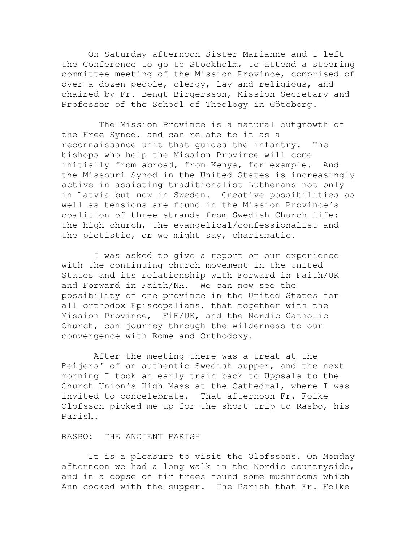On Saturday afternoon Sister Marianne and I left the Conference to go to Stockholm, to attend a steering committee meeting of the Mission Province, comprised of over a dozen people, clergy, lay and religious, and chaired by Fr. Bengt Birgersson, Mission Secretary and Professor of the School of Theology in Göteborg.

 The Mission Province is a natural outgrowth of the Free Synod, and can relate to it as a reconnaissance unit that guides the infantry. The bishops who help the Mission Province will come initially from abroad, from Kenya, for example. And the Missouri Synod in the United States is increasingly active in assisting traditionalist Lutherans not only in Latvia but now in Sweden. Creative possibilities as well as tensions are found in the Mission Province's coalition of three strands from Swedish Church life: the high church, the evangelical/confessionalist and the pietistic, or we might say, charismatic.

 I was asked to give a report on our experience with the continuing church movement in the United States and its relationship with Forward in Faith/UK and Forward in Faith/NA. We can now see the possibility of one province in the United States for all orthodox Episcopalians, that together with the Mission Province, FiF/UK, and the Nordic Catholic Church, can journey through the wilderness to our convergence with Rome and Orthodoxy.

 After the meeting there was a treat at the Beijers' of an authentic Swedish supper, and the next morning I took an early train back to Uppsala to the Church Union's High Mass at the Cathedral, where I was invited to concelebrate. That afternoon Fr. Folke Olofsson picked me up for the short trip to Rasbo, his Parish.

## RASBO: THE ANCIENT PARISH

 It is a pleasure to visit the Olofssons. On Monday afternoon we had a long walk in the Nordic countryside, and in a copse of fir trees found some mushrooms which Ann cooked with the supper. The Parish that Fr. Folke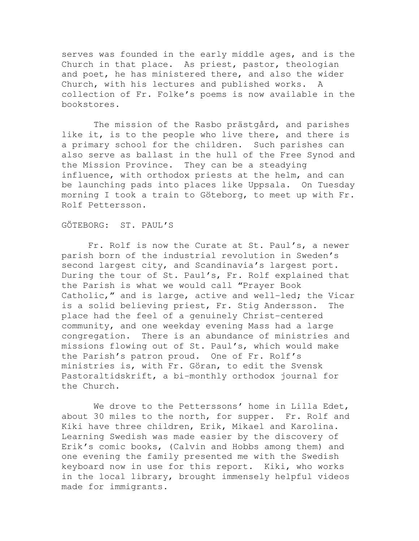serves was founded in the early middle ages, and is the Church in that place. As priest, pastor, theologian and poet, he has ministered there, and also the wider Church, with his lectures and published works. A collection of Fr. Folke's poems is now available in the bookstores.

 The mission of the Rasbo prästgård, and parishes like it, is to the people who live there, and there is a primary school for the children. Such parishes can also serve as ballast in the hull of the Free Synod and the Mission Province. They can be a steadying influence, with orthodox priests at the helm, and can be launching pads into places like Uppsala. On Tuesday morning I took a train to Göteborg, to meet up with Fr. Rolf Pettersson.

## GÖTEBORG: ST. PAUL'S

 Fr. Rolf is now the Curate at St. Paul's, a newer parish born of the industrial revolution in Sweden's second largest city, and Scandinavia's largest port. During the tour of St. Paul's, Fr. Rolf explained that the Parish is what we would call "Prayer Book Catholic," and is large, active and well-led; the Vicar is a solid believing priest, Fr. Stig Andersson. The place had the feel of a genuinely Christ-centered community, and one weekday evening Mass had a large congregation. There is an abundance of ministries and missions flowing out of St. Paul's, which would make the Parish's patron proud. One of Fr. Rolf's ministries is, with Fr. Göran, to edit the Svensk Pastoraltidskrift, a bi-monthly orthodox journal for the Church.

We drove to the Petterssons' home in Lilla Edet, about 30 miles to the north, for supper. Fr. Rolf and Kiki have three children, Erik, Mikael and Karolina. Learning Swedish was made easier by the discovery of Erik's comic books, (Calvin and Hobbs among them) and one evening the family presented me with the Swedish keyboard now in use for this report. Kiki, who works in the local library, brought immensely helpful videos made for immigrants.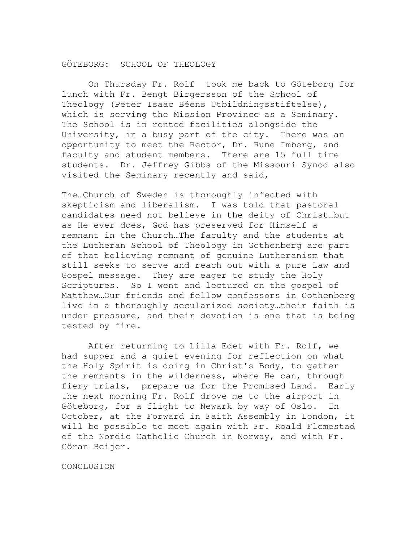## GÖTEBORG: SCHOOL OF THEOLOGY

 On Thursday Fr. Rolf took me back to Göteborg for lunch with Fr. Bengt Birgersson of the School of Theology (Peter Isaac Béens Utbildningsstiftelse), which is serving the Mission Province as a Seminary. The School is in rented facilities alongside the University, in a busy part of the city. There was an opportunity to meet the Rector, Dr. Rune Imberg, and faculty and student members. There are 15 full time students. Dr. Jeffrey Gibbs of the Missouri Synod also visited the Seminary recently and said,

The…Church of Sweden is thoroughly infected with skepticism and liberalism. I was told that pastoral candidates need not believe in the deity of Christ…but as He ever does, God has preserved for Himself a remnant in the Church…The faculty and the students at the Lutheran School of Theology in Gothenberg are part of that believing remnant of genuine Lutheranism that still seeks to serve and reach out with a pure Law and Gospel message. They are eager to study the Holy Scriptures. So I went and lectured on the gospel of Matthew…Our friends and fellow confessors in Gothenberg live in a thoroughly secularized society…their faith is under pressure, and their devotion is one that is being tested by fire.

 After returning to Lilla Edet with Fr. Rolf, we had supper and a quiet evening for reflection on what the Holy Spirit is doing in Christ's Body, to gather the remnants in the wilderness, where He can, through fiery trials, prepare us for the Promised Land. Early the next morning Fr. Rolf drove me to the airport in Göteborg, for a flight to Newark by way of Oslo. In October, at the Forward in Faith Assembly in London, it will be possible to meet again with Fr. Roald Flemestad of the Nordic Catholic Church in Norway, and with Fr. Göran Beijer.

CONCLUSION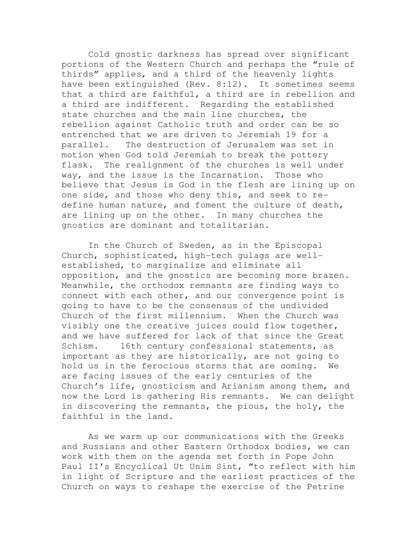Cold gnostic darkness has spread over significant portions of the Western Church and perhaps the "rule of thirds" applies, and a third of the heavenly lights have been extinguished (Rev. 8:12). It sometimes seems that a third are faithful, a third are in rebellion and a third are indifferent. Regarding the established state churches and the main line churches, the rebellion against Catholic truth and order can be so entrenched that we are driven to Jeremiah 19 for a parallel. The destruction of Jerusalem was set in motion when God told Jeremiah to break the pottery flask. The realignment of the churches is well under way, and the issue is the Incarnation. Those who believe that Jesus is God in the flesh are lining up on one side, and those who deny this, and seek to redefine human nature, and foment the culture of death, are lining up on the other. In many churches the gnostics are dominant and totalitarian.

 In the Church of Sweden, as in the Episcopal Church, sophisticated, high-tech gulags are wellestablished, to marginalize and eliminate all opposition, and the gnostics are becoming more brazen. Meanwhile, the orthodox remnants are finding ways to connect with each other, and our convergence point is going to have to be the consensus of the undivided Church of the first millennium. When the Church was visibly one the creative juices could flow together, and we have suffered for lack of that since the Great Schism. 16th century confessional statements, as important as they are historically, are not going to hold us in the ferocious storms that are coming. We are facing issues of the early centuries of the Church's life, gnosticism and Arianism among them, and now the Lord is gathering His remnants. We can delight in discovering the remnants, the pious, the holy, the faithful in the land.

 As we warm up our communications with the Greeks and Russians and other Eastern Orthodox bodies, we can work with them on the agenda set forth in Pope John Paul II's Encyclical Ut Unim Sint, "to reflect with him in light of Scripture and the earliest practices of the Church on ways to reshape the exercise of the Petrine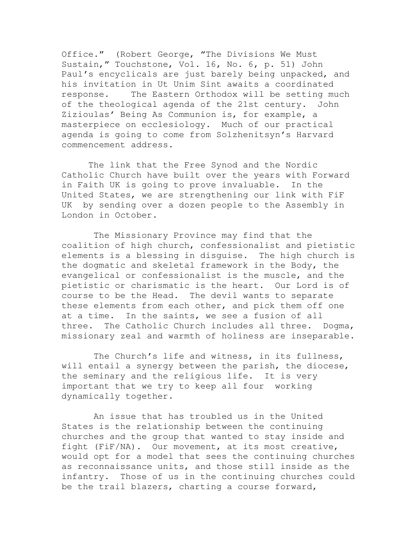Office." (Robert George, "The Divisions We Must Sustain," Touchstone, Vol. 16, No. 6, p. 51) John Paul's encyclicals are just barely being unpacked, and his invitation in Ut Unim Sint awaits a coordinated response. The Eastern Orthodox will be setting much of the theological agenda of the 21st century. John Zizioulas' Being As Communion is, for example, a masterpiece on ecclesiology. Much of our practical agenda is going to come from Solzhenitsyn's Harvard commencement address.

 The link that the Free Synod and the Nordic Catholic Church have built over the years with Forward in Faith UK is going to prove invaluable. In the United States, we are strengthening our link with FiF UK by sending over a dozen people to the Assembly in London in October.

 The Missionary Province may find that the coalition of high church, confessionalist and pietistic elements is a blessing in disguise. The high church is the dogmatic and skeletal framework in the Body, the evangelical or confessionalist is the muscle, and the pietistic or charismatic is the heart. Our Lord is of course to be the Head. The devil wants to separate these elements from each other, and pick them off one at a time. In the saints, we see a fusion of all three. The Catholic Church includes all three. Dogma, missionary zeal and warmth of holiness are inseparable.

 The Church's life and witness, in its fullness, will entail a synergy between the parish, the diocese, the seminary and the religious life. It is very important that we try to keep all four working dynamically together.

 An issue that has troubled us in the United States is the relationship between the continuing churches and the group that wanted to stay inside and fight (FiF/NA). Our movement, at its most creative, would opt for a model that sees the continuing churches as reconnaissance units, and those still inside as the infantry. Those of us in the continuing churches could be the trail blazers, charting a course forward,